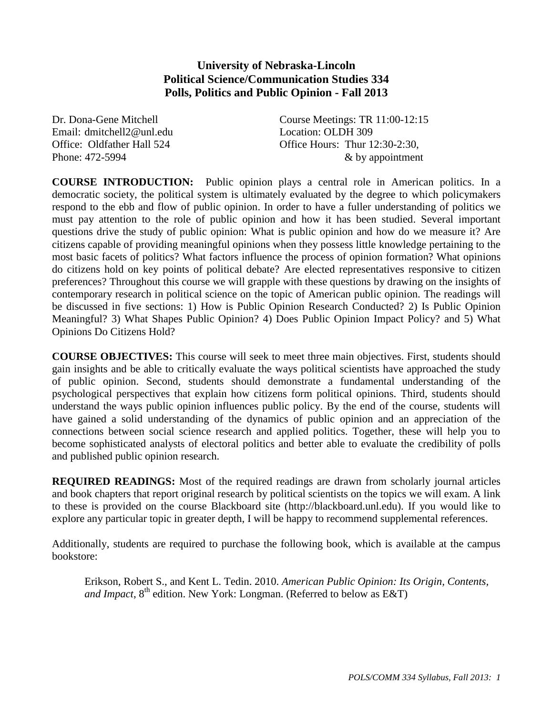## **University of Nebraska-Lincoln Political Science/Communication Studies 334 Polls, Politics and Public Opinion - Fall 2013**

Email: dmitchell2@unl.edu Location: OLDH 309

Dr. Dona-Gene Mitchell Course Meetings: TR 11:00-12:15 Office: Oldfather Hall 524 Office Hours: Thur 12:30-2:30, Phone: 472-5994  $\⊂>8$  by appointment

**COURSE INTRODUCTION:** Public opinion plays a central role in American politics. In a democratic society, the political system is ultimately evaluated by the degree to which policymakers respond to the ebb and flow of public opinion. In order to have a fuller understanding of politics we must pay attention to the role of public opinion and how it has been studied. Several important questions drive the study of public opinion: What is public opinion and how do we measure it? Are citizens capable of providing meaningful opinions when they possess little knowledge pertaining to the most basic facets of politics? What factors influence the process of opinion formation? What opinions do citizens hold on key points of political debate? Are elected representatives responsive to citizen preferences? Throughout this course we will grapple with these questions by drawing on the insights of contemporary research in political science on the topic of American public opinion. The readings will be discussed in five sections: 1) How is Public Opinion Research Conducted? 2) Is Public Opinion Meaningful? 3) What Shapes Public Opinion? 4) Does Public Opinion Impact Policy? and 5) What Opinions Do Citizens Hold?

**COURSE OBJECTIVES:** This course will seek to meet three main objectives. First, students should gain insights and be able to critically evaluate the ways political scientists have approached the study of public opinion. Second, students should demonstrate a fundamental understanding of the psychological perspectives that explain how citizens form political opinions. Third, students should understand the ways public opinion influences public policy. By the end of the course, students will have gained a solid understanding of the dynamics of public opinion and an appreciation of the connections between social science research and applied politics. Together, these will help you to become sophisticated analysts of electoral politics and better able to evaluate the credibility of polls and published public opinion research.

**REQUIRED READINGS:** Most of the required readings are drawn from scholarly journal articles and book chapters that report original research by political scientists on the topics we will exam. A link to these is provided on the course Blackboard site (http://blackboard.unl.edu). If you would like to explore any particular topic in greater depth, I will be happy to recommend supplemental references.

Additionally, students are required to purchase the following book, which is available at the campus bookstore:

Erikson, Robert S., and Kent L. Tedin. 2010. *American Public Opinion: Its Origin, Contents, and Impact*,  $8<sup>th</sup>$  edition. New York: Longman. (Referred to below as E&T)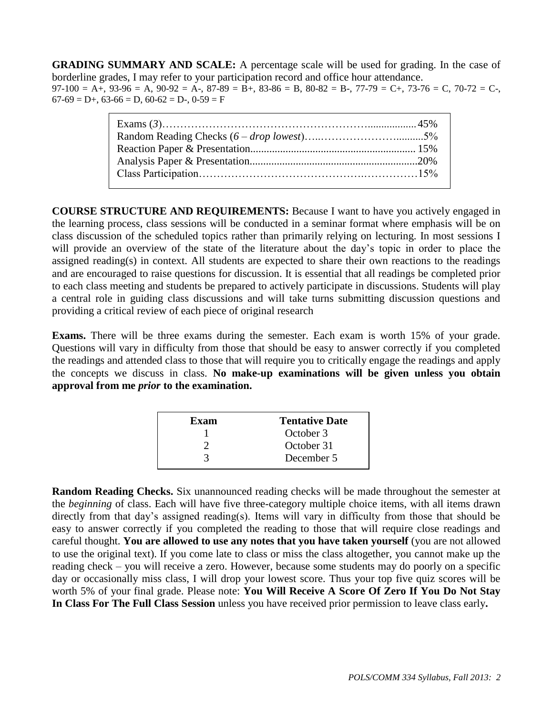**GRADING SUMMARY AND SCALE:** A percentage scale will be used for grading. In the case of borderline grades, I may refer to your participation record and office hour attendance.  $97-100 = A_+, 93-96 = A, 90-92 = A_-, 87-89 = B_+, 83-86 = B, 80-82 = B_-, 77-79 = C_+, 73-76 = C, 70-72 = C_-,$  $67-69 = D+$ ,  $63-66 = D$ ,  $60-62 = D-$ ,  $0-59 = F$ 

**COURSE STRUCTURE AND REQUIREMENTS:** Because I want to have you actively engaged in the learning process, class sessions will be conducted in a seminar format where emphasis will be on class discussion of the scheduled topics rather than primarily relying on lecturing. In most sessions I will provide an overview of the state of the literature about the day's topic in order to place the assigned reading(s) in context. All students are expected to share their own reactions to the readings and are encouraged to raise questions for discussion. It is essential that all readings be completed prior to each class meeting and students be prepared to actively participate in discussions. Students will play a central role in guiding class discussions and will take turns submitting discussion questions and providing a critical review of each piece of original research

**Exams.** There will be three exams during the semester. Each exam is worth 15% of your grade. Questions will vary in difficulty from those that should be easy to answer correctly if you completed the readings and attended class to those that will require you to critically engage the readings and apply the concepts we discuss in class. **No make-up examinations will be given unless you obtain approval from me** *prior* **to the examination.** 

| Exam | <b>Tentative Date</b> |
|------|-----------------------|
|      | October 3             |
|      | October 31            |
|      | December 5            |
|      |                       |

**Random Reading Checks.** Six unannounced reading checks will be made throughout the semester at the *beginning* of class. Each will have five three-category multiple choice items, with all items drawn directly from that day's assigned reading(s). Items will vary in difficulty from those that should be easy to answer correctly if you completed the reading to those that will require close readings and careful thought. **You are allowed to use any notes that you have taken yourself** (you are not allowed to use the original text). If you come late to class or miss the class altogether, you cannot make up the reading check – you will receive a zero. However, because some students may do poorly on a specific day or occasionally miss class, I will drop your lowest score. Thus your top five quiz scores will be worth 5% of your final grade. Please note: **You Will Receive A Score Of Zero If You Do Not Stay In Class For The Full Class Session** unless you have received prior permission to leave class early**.**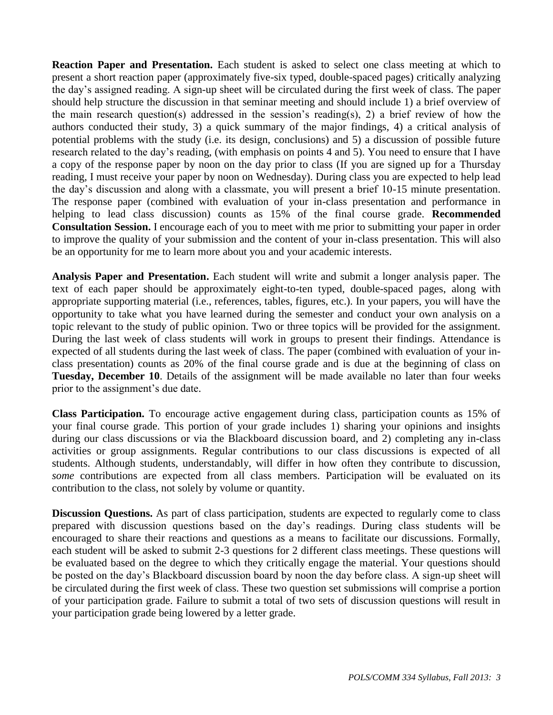**Reaction Paper and Presentation.** Each student is asked to select one class meeting at which to present a short reaction paper (approximately five-six typed, double-spaced pages) critically analyzing the day's assigned reading. A sign-up sheet will be circulated during the first week of class. The paper should help structure the discussion in that seminar meeting and should include 1) a brief overview of the main research question(s) addressed in the session's reading(s), 2) a brief review of how the authors conducted their study, 3) a quick summary of the major findings, 4) a critical analysis of potential problems with the study (i.e. its design, conclusions) and 5) a discussion of possible future research related to the day's reading, (with emphasis on points 4 and 5). You need to ensure that I have a copy of the response paper by noon on the day prior to class (If you are signed up for a Thursday reading, I must receive your paper by noon on Wednesday). During class you are expected to help lead the day's discussion and along with a classmate, you will present a brief 10-15 minute presentation. The response paper (combined with evaluation of your in-class presentation and performance in helping to lead class discussion) counts as 15% of the final course grade. **Recommended Consultation Session.** I encourage each of you to meet with me prior to submitting your paper in order to improve the quality of your submission and the content of your in-class presentation. This will also be an opportunity for me to learn more about you and your academic interests.

**Analysis Paper and Presentation.** Each student will write and submit a longer analysis paper. The text of each paper should be approximately eight-to-ten typed, double-spaced pages, along with appropriate supporting material (i.e., references, tables, figures, etc.). In your papers, you will have the opportunity to take what you have learned during the semester and conduct your own analysis on a topic relevant to the study of public opinion. Two or three topics will be provided for the assignment. During the last week of class students will work in groups to present their findings. Attendance is expected of all students during the last week of class. The paper (combined with evaluation of your inclass presentation) counts as 20% of the final course grade and is due at the beginning of class on **Tuesday, December 10**. Details of the assignment will be made available no later than four weeks prior to the assignment's due date.

**Class Participation.** To encourage active engagement during class, participation counts as 15% of your final course grade. This portion of your grade includes 1) sharing your opinions and insights during our class discussions or via the Blackboard discussion board, and 2) completing any in-class activities or group assignments. Regular contributions to our class discussions is expected of all students. Although students, understandably, will differ in how often they contribute to discussion, *some* contributions are expected from all class members. Participation will be evaluated on its contribution to the class, not solely by volume or quantity.

**Discussion Questions.** As part of class participation, students are expected to regularly come to class prepared with discussion questions based on the day's readings. During class students will be encouraged to share their reactions and questions as a means to facilitate our discussions. Formally, each student will be asked to submit 2-3 questions for 2 different class meetings. These questions will be evaluated based on the degree to which they critically engage the material. Your questions should be posted on the day's Blackboard discussion board by noon the day before class. A sign-up sheet will be circulated during the first week of class. These two question set submissions will comprise a portion of your participation grade. Failure to submit a total of two sets of discussion questions will result in your participation grade being lowered by a letter grade.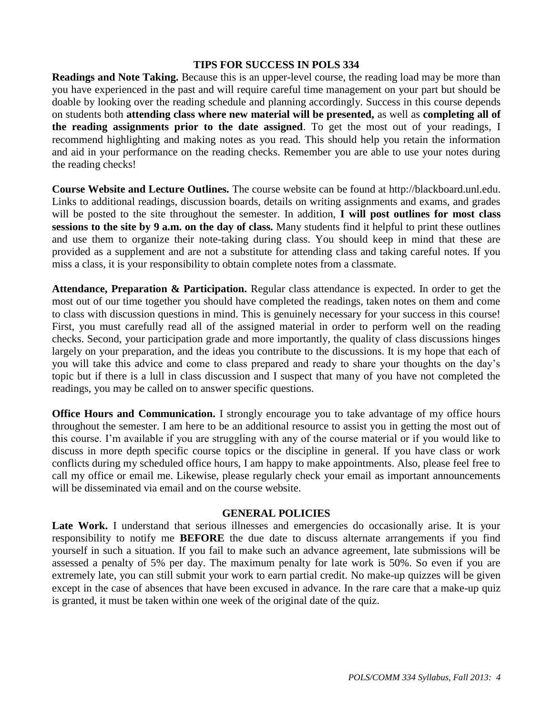## **TIPS FOR SUCCESS IN POLS 334**

**Readings and Note Taking.** Because this is an upper-level course, the reading load may be more than you have experienced in the past and will require careful time management on your part but should be doable by looking over the reading schedule and planning accordingly. Success in this course depends on students both **attending class where new material will be presented,** as well as **completing all of the reading assignments prior to the date assigned**. To get the most out of your readings, I recommend highlighting and making notes as you read. This should help you retain the information and aid in your performance on the reading checks. Remember you are able to use your notes during the reading checks!

**Course Website and Lecture Outlines.** The course website can be found at http://blackboard.unl.edu. Links to additional readings, discussion boards, details on writing assignments and exams, and grades will be posted to the site throughout the semester. In addition, **I will post outlines for most class sessions to the site by 9 a.m. on the day of class.** Many students find it helpful to print these outlines and use them to organize their note-taking during class. You should keep in mind that these are provided as a supplement and are not a substitute for attending class and taking careful notes. If you miss a class, it is your responsibility to obtain complete notes from a classmate.

**Attendance, Preparation & Participation.** Regular class attendance is expected. In order to get the most out of our time together you should have completed the readings, taken notes on them and come to class with discussion questions in mind. This is genuinely necessary for your success in this course! First, you must carefully read all of the assigned material in order to perform well on the reading checks. Second, your participation grade and more importantly, the quality of class discussions hinges largely on your preparation, and the ideas you contribute to the discussions. It is my hope that each of you will take this advice and come to class prepared and ready to share your thoughts on the day's topic but if there is a lull in class discussion and I suspect that many of you have not completed the readings, you may be called on to answer specific questions.

**Office Hours and Communication.** I strongly encourage you to take advantage of my office hours throughout the semester. I am here to be an additional resource to assist you in getting the most out of this course. I'm available if you are struggling with any of the course material or if you would like to discuss in more depth specific course topics or the discipline in general. If you have class or work conflicts during my scheduled office hours, I am happy to make appointments. Also, please feel free to call my office or email me. Likewise, please regularly check your email as important announcements will be disseminated via email and on the course website.

## **GENERAL POLICIES**

Late Work. I understand that serious illnesses and emergencies do occasionally arise. It is your responsibility to notify me **BEFORE** the due date to discuss alternate arrangements if you find yourself in such a situation. If you fail to make such an advance agreement, late submissions will be assessed a penalty of 5% per day. The maximum penalty for late work is 50%. So even if you are extremely late, you can still submit your work to earn partial credit. No make-up quizzes will be given except in the case of absences that have been excused in advance. In the rare care that a make-up quiz is granted, it must be taken within one week of the original date of the quiz.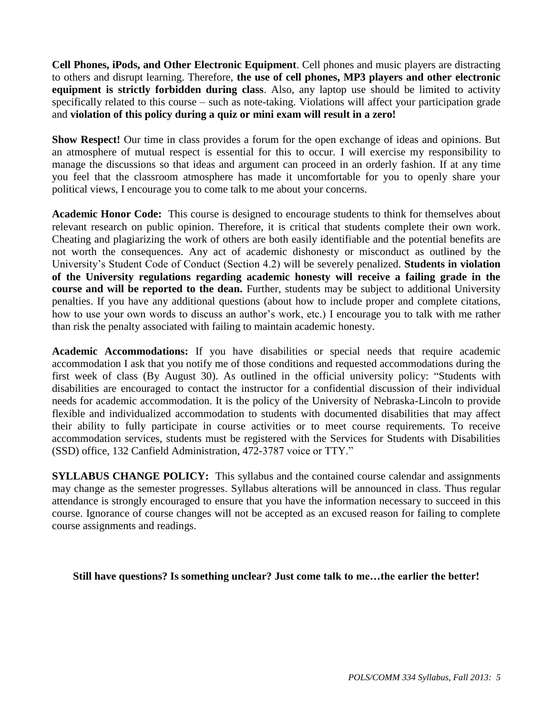**Cell Phones, iPods, and Other Electronic Equipment**. Cell phones and music players are distracting to others and disrupt learning. Therefore, **the use of cell phones, MP3 players and other electronic equipment is strictly forbidden during class**. Also, any laptop use should be limited to activity specifically related to this course – such as note-taking. Violations will affect your participation grade and **violation of this policy during a quiz or mini exam will result in a zero!** 

**Show Respect!** Our time in class provides a forum for the open exchange of ideas and opinions. But an atmosphere of mutual respect is essential for this to occur. I will exercise my responsibility to manage the discussions so that ideas and argument can proceed in an orderly fashion. If at any time you feel that the classroom atmosphere has made it uncomfortable for you to openly share your political views, I encourage you to come talk to me about your concerns.

**Academic Honor Code:** This course is designed to encourage students to think for themselves about relevant research on public opinion. Therefore, it is critical that students complete their own work. Cheating and plagiarizing the work of others are both easily identifiable and the potential benefits are not worth the consequences. Any act of academic dishonesty or misconduct as outlined by the University's Student Code of Conduct (Section 4.2) will be severely penalized. **Students in violation of the University regulations regarding academic honesty will receive a failing grade in the course and will be reported to the dean.** Further, students may be subject to additional University penalties. If you have any additional questions (about how to include proper and complete citations, how to use your own words to discuss an author's work, etc.) I encourage you to talk with me rather than risk the penalty associated with failing to maintain academic honesty.

**Academic Accommodations:** If you have disabilities or special needs that require academic accommodation I ask that you notify me of those conditions and requested accommodations during the first week of class (By August 30). As outlined in the official university policy: "Students with disabilities are encouraged to contact the instructor for a confidential discussion of their individual needs for academic accommodation. It is the policy of the University of Nebraska-Lincoln to provide flexible and individualized accommodation to students with documented disabilities that may affect their ability to fully participate in course activities or to meet course requirements. To receive accommodation services, students must be registered with the Services for Students with Disabilities (SSD) office, 132 Canfield Administration, 472-3787 voice or TTY."

**SYLLABUS CHANGE POLICY:** This syllabus and the contained course calendar and assignments may change as the semester progresses. Syllabus alterations will be announced in class. Thus regular attendance is strongly encouraged to ensure that you have the information necessary to succeed in this course. Ignorance of course changes will not be accepted as an excused reason for failing to complete course assignments and readings.

**Still have questions? Is something unclear? Just come talk to me…the earlier the better!**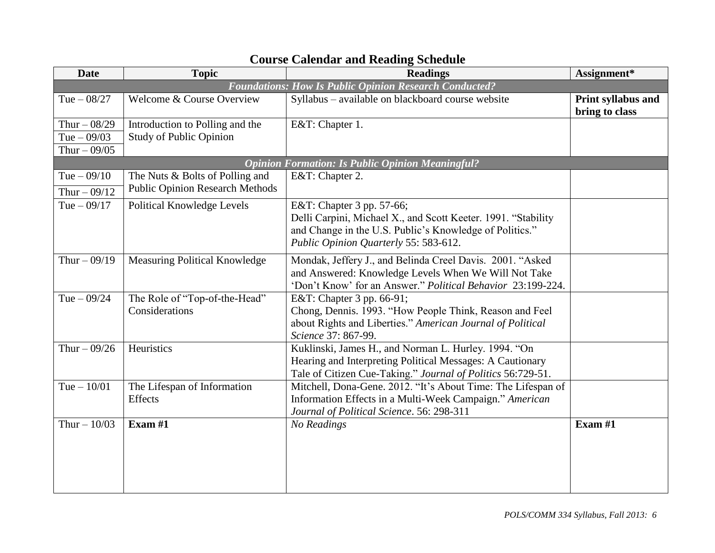| <b>Date</b>   | <b>Topic</b>                           | <b>Readings</b>                                               | Assignment*                          |
|---------------|----------------------------------------|---------------------------------------------------------------|--------------------------------------|
|               |                                        | <b>Foundations: How Is Public Opinion Research Conducted?</b> |                                      |
| Tue $-08/27$  | Welcome & Course Overview              | Syllabus - available on blackboard course website             | Print syllabus and<br>bring to class |
| Thur $-08/29$ | Introduction to Polling and the        | E&T: Chapter 1.                                               |                                      |
| Tue $-09/03$  | <b>Study of Public Opinion</b>         |                                                               |                                      |
| Thur $-09/05$ |                                        |                                                               |                                      |
|               |                                        | <b>Opinion Formation: Is Public Opinion Meaningful?</b>       |                                      |
| Tue $-09/10$  | The Nuts & Bolts of Polling and        | E&T: Chapter 2.                                               |                                      |
| Thur $-09/12$ | <b>Public Opinion Research Methods</b> |                                                               |                                      |
| Tue $-09/17$  | Political Knowledge Levels             | E&T: Chapter 3 pp. 57-66;                                     |                                      |
|               |                                        | Delli Carpini, Michael X., and Scott Keeter. 1991. "Stability |                                      |
|               |                                        | and Change in the U.S. Public's Knowledge of Politics."       |                                      |
|               |                                        | Public Opinion Quarterly 55: 583-612.                         |                                      |
| Thur $-09/19$ | Measuring Political Knowledge          | Mondak, Jeffery J., and Belinda Creel Davis. 2001. "Asked     |                                      |
|               |                                        | and Answered: Knowledge Levels When We Will Not Take          |                                      |
|               |                                        | 'Don't Know' for an Answer." Political Behavior 23:199-224.   |                                      |
| Tue $-09/24$  | The Role of "Top-of-the-Head"          | E&T: Chapter 3 pp. 66-91;                                     |                                      |
|               | Considerations                         | Chong, Dennis. 1993. "How People Think, Reason and Feel       |                                      |
|               |                                        | about Rights and Liberties." American Journal of Political    |                                      |
|               |                                        | Science 37: 867-99.                                           |                                      |
| Thur $-09/26$ | Heuristics                             | Kuklinski, James H., and Norman L. Hurley. 1994. "On          |                                      |
|               |                                        | Hearing and Interpreting Political Messages: A Cautionary     |                                      |
|               |                                        | Tale of Citizen Cue-Taking." Journal of Politics 56:729-51.   |                                      |
| Tue $-10/01$  | The Lifespan of Information            | Mitchell, Dona-Gene. 2012. "It's About Time: The Lifespan of  |                                      |
|               | Effects                                | Information Effects in a Multi-Week Campaign." American       |                                      |
| Thur $-10/03$ | Exam $#1$                              | Journal of Political Science. 56: 298-311<br>No Readings      | Exam #1                              |
|               |                                        |                                                               |                                      |
|               |                                        |                                                               |                                      |
|               |                                        |                                                               |                                      |
|               |                                        |                                                               |                                      |
|               |                                        |                                                               |                                      |

## **Course Calendar and Reading Schedule**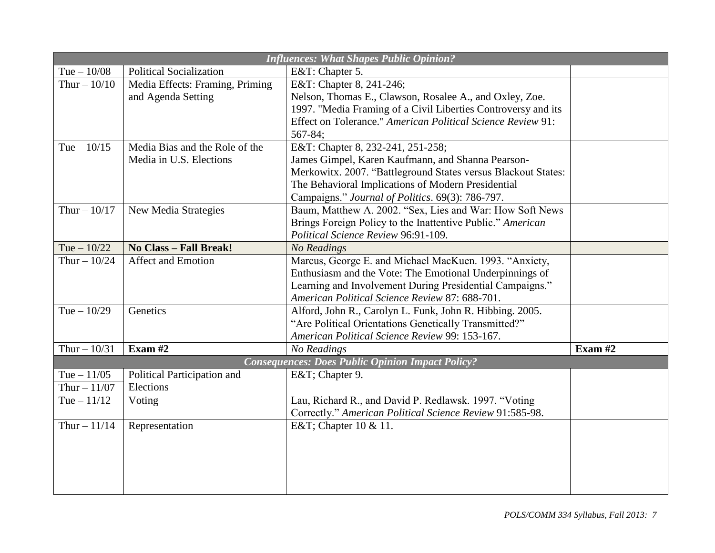| <b>Influences: What Shapes Public Opinion?</b> |                                 |                                                               |           |
|------------------------------------------------|---------------------------------|---------------------------------------------------------------|-----------|
| Tue $-10/08$                                   | <b>Political Socialization</b>  | E&T: Chapter 5.                                               |           |
| Thur $-10/10$                                  | Media Effects: Framing, Priming | E&T: Chapter 8, 241-246;                                      |           |
|                                                | and Agenda Setting              | Nelson, Thomas E., Clawson, Rosalee A., and Oxley, Zoe.       |           |
|                                                |                                 | 1997. "Media Framing of a Civil Liberties Controversy and its |           |
|                                                |                                 | Effect on Tolerance." American Political Science Review 91:   |           |
|                                                |                                 | 567-84;                                                       |           |
| Tue $-10/15$                                   | Media Bias and the Role of the  | E&T: Chapter 8, 232-241, 251-258;                             |           |
|                                                | Media in U.S. Elections         | James Gimpel, Karen Kaufmann, and Shanna Pearson-             |           |
|                                                |                                 | Merkowitx. 2007. "Battleground States versus Blackout States: |           |
|                                                |                                 | The Behavioral Implications of Modern Presidential            |           |
|                                                |                                 | Campaigns." Journal of Politics. 69(3): 786-797.              |           |
| Thur $-10/17$                                  | New Media Strategies            | Baum, Matthew A. 2002. "Sex, Lies and War: How Soft News      |           |
|                                                |                                 | Brings Foreign Policy to the Inattentive Public." American    |           |
|                                                |                                 | Political Science Review 96:91-109.                           |           |
| Tue $-10/22$                                   | No Class - Fall Break!          | <b>No Readings</b>                                            |           |
| Thur $-10/24$                                  | <b>Affect and Emotion</b>       | Marcus, George E. and Michael MacKuen. 1993. "Anxiety,        |           |
|                                                |                                 | Enthusiasm and the Vote: The Emotional Underpinnings of       |           |
|                                                |                                 | Learning and Involvement During Presidential Campaigns."      |           |
|                                                |                                 | American Political Science Review 87: 688-701.                |           |
| Tue $-10/29$                                   | Genetics                        | Alford, John R., Carolyn L. Funk, John R. Hibbing. 2005.      |           |
|                                                |                                 | "Are Political Orientations Genetically Transmitted?"         |           |
|                                                |                                 | American Political Science Review 99: 153-167.                |           |
| Thur $-10/31$                                  | Exam $#2$                       | No Readings                                                   | Exam $#2$ |
|                                                |                                 | <b>Consequences: Does Public Opinion Impact Policy?</b>       |           |
| Tue $-11/05$                                   | Political Participation and     | E&T Chapter 9.                                                |           |
| Thur $-11/07$                                  | Elections                       |                                                               |           |
| Tue $-11/12$                                   | Voting                          | Lau, Richard R., and David P. Redlawsk. 1997. "Voting         |           |
|                                                |                                 | Correctly." American Political Science Review 91:585-98.      |           |
| Thur $-11/14$                                  | Representation                  | E&T Chapter 10 & 11.                                          |           |
|                                                |                                 |                                                               |           |
|                                                |                                 |                                                               |           |
|                                                |                                 |                                                               |           |
|                                                |                                 |                                                               |           |
|                                                |                                 |                                                               |           |